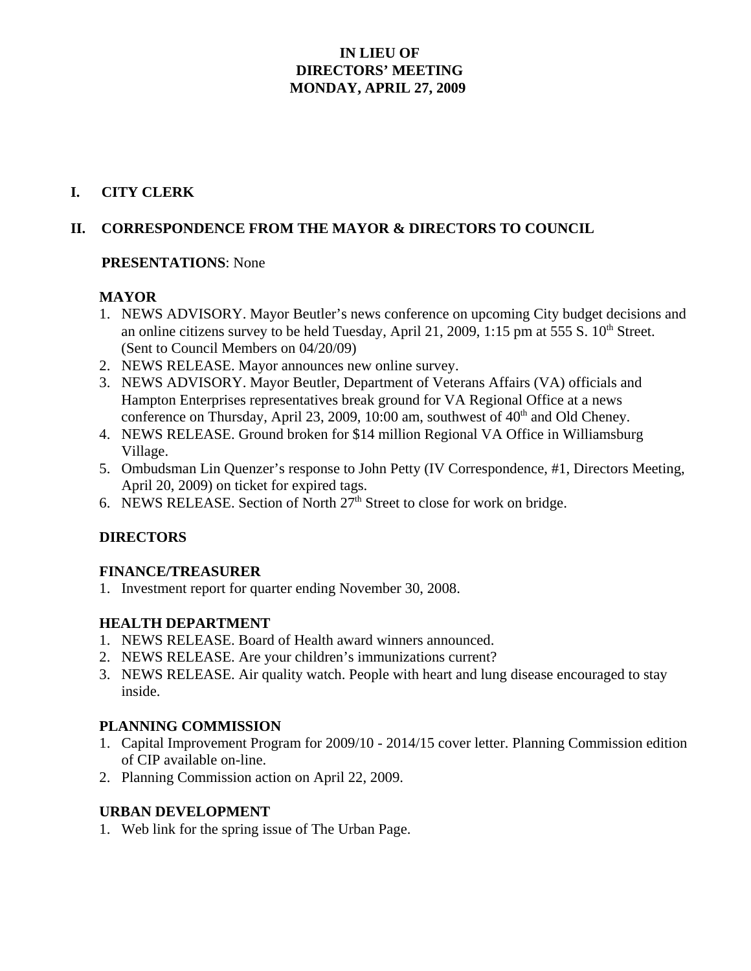## **IN LIEU OF DIRECTORS' MEETING MONDAY, APRIL 27, 2009**

## **I. CITY CLERK**

## **II. CORRESPONDENCE FROM THE MAYOR & DIRECTORS TO COUNCIL**

#### **PRESENTATIONS**: None

### **MAYOR**

- 1. NEWS ADVISORY. Mayor Beutler's news conference on upcoming City budget decisions and an online citizens survey to be held Tuesday, April 21, 2009, 1:15 pm at 555 S.  $10<sup>th</sup>$  Street. (Sent to Council Members on 04/20/09)
- 2. NEWS RELEASE. Mayor announces new online survey.
- 3. NEWS ADVISORY. Mayor Beutler, Department of Veterans Affairs (VA) officials and Hampton Enterprises representatives break ground for VA Regional Office at a news conference on Thursday, April 23, 2009, 10:00 am, southwest of  $40<sup>th</sup>$  and Old Cheney.
- 4. NEWS RELEASE. Ground broken for \$14 million Regional VA Office in Williamsburg Village.
- 5. Ombudsman Lin Quenzer's response to John Petty (IV Correspondence, #1, Directors Meeting, April 20, 2009) on ticket for expired tags.
- 6. NEWS RELEASE. Section of North  $27<sup>th</sup>$  Street to close for work on bridge.

### **DIRECTORS**

### **FINANCE/TREASURER**

1. Investment report for quarter ending November 30, 2008.

### **HEALTH DEPARTMENT**

- 1. NEWS RELEASE. Board of Health award winners announced.
- 2. NEWS RELEASE. Are your children's immunizations current?
- 3. NEWS RELEASE. Air quality watch. People with heart and lung disease encouraged to stay inside.

### **PLANNING COMMISSION**

- 1. Capital Improvement Program for 2009/10 2014/15 cover letter. Planning Commission edition of CIP available on-line.
- 2. Planning Commission action on April 22, 2009.

### **URBAN DEVELOPMENT**

1. Web link for the spring issue of The Urban Page.